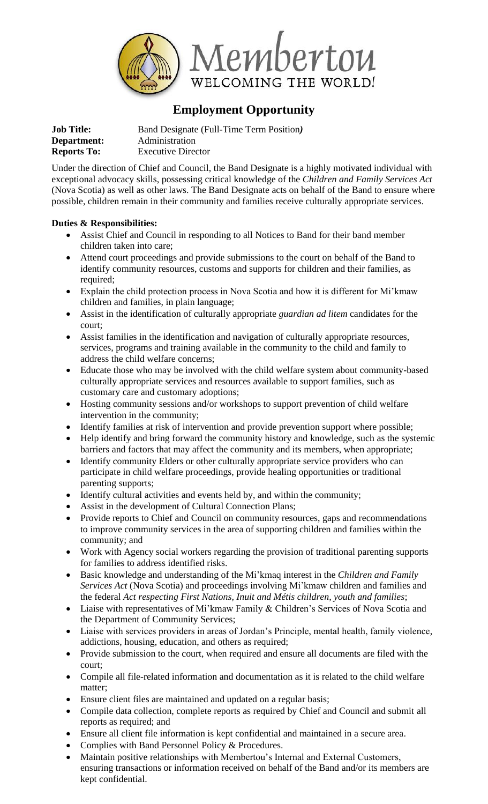

# **Employment Opportunity**

| <b>Job Title:</b>  | Band Designate (Full-Time Term Position) |
|--------------------|------------------------------------------|
| Department:        | Administration                           |
| <b>Reports To:</b> | <b>Executive Director</b>                |

Under the direction of Chief and Council, the Band Designate is a highly motivated individual with exceptional advocacy skills, possessing critical knowledge of the *Children and Family Services Act*  (Nova Scotia) as well as other laws. The Band Designate acts on behalf of the Band to ensure where possible, children remain in their community and families receive culturally appropriate services.

### **Duties & Responsibilities:**

- Assist Chief and Council in responding to all Notices to Band for their band member children taken into care;
- Attend court proceedings and provide submissions to the court on behalf of the Band to identify community resources, customs and supports for children and their families, as required;
- Explain the child protection process in Nova Scotia and how it is different for Mi'kmaw children and families, in plain language;
- Assist in the identification of culturally appropriate *guardian ad litem* candidates for the court;
- Assist families in the identification and navigation of culturally appropriate resources, services, programs and training available in the community to the child and family to address the child welfare concerns;
- Educate those who may be involved with the child welfare system about community-based culturally appropriate services and resources available to support families, such as customary care and customary adoptions;
- Hosting community sessions and/or workshops to support prevention of child welfare intervention in the community;
- Identify families at risk of intervention and provide prevention support where possible;
- Help identify and bring forward the community history and knowledge, such as the systemic barriers and factors that may affect the community and its members, when appropriate;
- Identify community Elders or other culturally appropriate service providers who can participate in child welfare proceedings, provide healing opportunities or traditional parenting supports;
- Identify cultural activities and events held by, and within the community;
- Assist in the development of Cultural Connection Plans;
- Provide reports to Chief and Council on community resources, gaps and recommendations to improve community services in the area of supporting children and families within the community; and
- Work with Agency social workers regarding the provision of traditional parenting supports for families to address identified risks.
- Basic knowledge and understanding of the Mi'kmaq interest in the *Children and Family Services Act* (Nova Scotia) and proceedings involving Mi'kmaw children and families and the federal *Act respecting First Nations, Inuit and Métis children, youth and families*;
- Liaise with representatives of Mi'kmaw Family & Children's Services of Nova Scotia and the Department of Community Services;
- Liaise with services providers in areas of Jordan's Principle, mental health, family violence, addictions, housing, education, and others as required;
- Provide submission to the court, when required and ensure all documents are filed with the court;
- Compile all file-related information and documentation as it is related to the child welfare matter;
- Ensure client files are maintained and updated on a regular basis;
- Compile data collection, complete reports as required by Chief and Council and submit all reports as required; and
- Ensure all client file information is kept confidential and maintained in a secure area.
- Complies with Band Personnel Policy & Procedures.
- Maintain positive relationships with Membertou's Internal and External Customers, ensuring transactions or information received on behalf of the Band and/or its members are kept confidential.